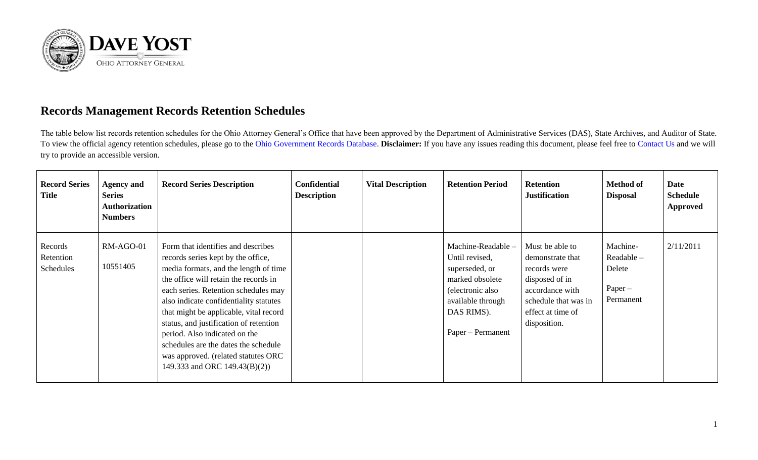

## **Records Management Records Retention Schedules**

The table below list records retention schedules for the Ohio Attorney General's Office that have been approved by the Department of Administrative Services (DAS), State Archives, and Auditor of State. To view the official agency retention schedules, please go to the [Ohio Government Records Database.](https://apps.das.ohio.gov/RIMS/GeneralSchedule) **Disclaimer:** If you have any issues reading this document, please feel free to [Contact Us](https://www.ohioattorneygeneral.gov/About-AG/Contact) and we will try to provide an accessible version.

| <b>Record Series</b><br>Title     | <b>Agency and</b><br><b>Series</b><br><b>Authorization</b><br><b>Numbers</b> | <b>Record Series Description</b>                                                                                                                                                                                                                                                                                                                                                                                                                                                  | <b>Confidential</b><br><b>Description</b> | <b>Vital Description</b> | <b>Retention Period</b>                                                                                                                               | <b>Retention</b><br><b>Justification</b>                                                                                                              | <b>Method of</b><br><b>Disposal</b>                        | <b>Date</b><br><b>Schedule</b><br><b>Approved</b> |
|-----------------------------------|------------------------------------------------------------------------------|-----------------------------------------------------------------------------------------------------------------------------------------------------------------------------------------------------------------------------------------------------------------------------------------------------------------------------------------------------------------------------------------------------------------------------------------------------------------------------------|-------------------------------------------|--------------------------|-------------------------------------------------------------------------------------------------------------------------------------------------------|-------------------------------------------------------------------------------------------------------------------------------------------------------|------------------------------------------------------------|---------------------------------------------------|
| Records<br>Retention<br>Schedules | RM-AGO-01<br>10551405                                                        | Form that identifies and describes<br>records series kept by the office,<br>media formats, and the length of time<br>the office will retain the records in<br>each series. Retention schedules may<br>also indicate confidentiality statutes<br>that might be applicable, vital record<br>status, and justification of retention<br>period. Also indicated on the<br>schedules are the dates the schedule<br>was approved. (related statutes ORC<br>149.333 and ORC 149.43(B)(2)) |                                           |                          | Machine-Readable -<br>Until revised,<br>superseded, or<br>marked obsolete<br>(electronic also<br>available through<br>DAS RIMS).<br>Paper – Permanent | Must be able to<br>demonstrate that<br>records were<br>disposed of in<br>accordance with<br>schedule that was in<br>effect at time of<br>disposition. | Machine-<br>Readable -<br>Delete<br>$Paper -$<br>Permanent | 2/11/2011                                         |